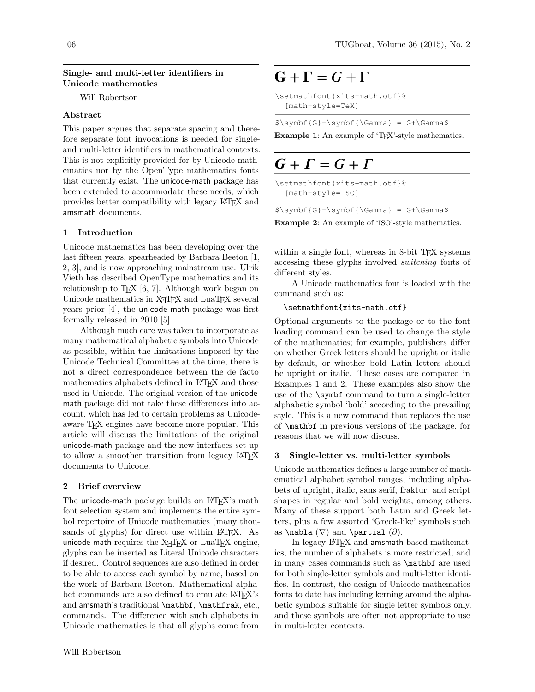#### Single- and multi-letter identifiers in Unicode mathematics

Will Robertson

## Abstract

This paper argues that separate spacing and therefore separate font invocations is needed for singleand multi-letter identifiers in mathematical contexts. This is not explicitly provided for by Unicode mathematics nor by the OpenType mathematics fonts that currently exist. The unicode-math package has been extended to accommodate these needs, which provides better compatibility with legacy LATEX and amsmath documents.

# 1 Introduction

Unicode mathematics has been developing over the last fifteen years, spearheaded by Barbara Beeton [\[1,](#page-2-0) [2,](#page-2-1) [3\]](#page-2-2), and is now approaching mainstream use. Ulrik Vieth has described OpenType mathematics and its relationship to TEX [\[6,](#page-2-3) [7\]](#page-2-4). Although work began on Unicode mathematics in X<sub>T</sub>T<sub>E</sub>X and LuaT<sub>E</sub>X several years prior [\[4\]](#page-2-5), the unicode-math package was first formally released in 2010 [\[5\]](#page-2-6).

Although much care was taken to incorporate as many mathematical alphabetic symbols into Unicode as possible, within the limitations imposed by the Unicode Technical Committee at the time, there is not a direct correspondence between the de facto mathematics alphabets defined in LAT<sub>EX</sub> and those used in Unicode. The original version of the unicodemath package did not take these differences into account, which has led to certain problems as Unicodeaware TEX engines have become more popular. This article will discuss the limitations of the original unicode-math package and the new interfaces set up to allow a smoother transition from legacy LATEX documents to Unicode.

## 2 Brief overview

The unicode-math package builds on LATFX's math font selection system and implements the entire symbol repertoire of Unicode mathematics (many thousands of glyphs) for direct use within L<sup>AT</sup>EX. As unicode-math requires the  $X \nsubseteq Y$  or LuaTEX engine, glyphs can be inserted as Literal Unicode characters if desired. Control sequences are also defined in order to be able to access each symbol by name, based on the work of Barbara Beeton. Mathematical alphabet commands are also defined to emulate LAT<sub>EX</sub>'s and amsmath's traditional \mathbf, \mathfrak, etc., commands. The difference with such alphabets in Unicode mathematics is that all glyphs come from

# $G + \Gamma = G + \Gamma$

```
\setmathfont{xits-math.otf}%
[math-style=TeX]
```
 $\text{S}\sqrt{G}+\text{symbf}\$  = G+\Gamma\$

Example 1: An example of 'T<sub>EX</sub>'-style mathematics.

# $G + \Gamma = G + \Gamma$

\setmathfont{xits-math.otf}% [math-style=ISO]

 $$\symbol{\S}\$  = G+\Gamma\$

Example 2: An example of 'ISO'-style mathematics.

within a single font, whereas in 8-bit TEX systems accessing these glyphs involved switching fonts of different styles.

A Unicode mathematics font is loaded with the command such as:

#### \setmathfont{xits-math.otf}

Optional arguments to the package or to the font loading command can be used to change the style of the mathematics; for example, publishers differ on whether Greek letters should be upright or italic by default, or whether bold Latin letters should be upright or italic. These cases are compared in Examples 1 and 2. These examples also show the use of the \symbf command to turn a single-letter alphabetic symbol 'bold' according to the prevailing style. This is a new command that replaces the use of \mathbf in previous versions of the package, for reasons that we will now discuss.

## 3 Single-letter vs. multi-letter symbols

Unicode mathematics defines a large number of mathematical alphabet symbol ranges, including alphabets of upright, italic, sans serif, fraktur, and script shapes in regular and bold weights, among others. Many of these support both Latin and Greek letters, plus a few assorted 'Greek-like' symbols such as \nabla  $(\nabla)$  and \partial  $(\partial)$ .

In legacy LATEX and amsmath-based mathematics, the number of alphabets is more restricted, and in many cases commands such as \mathbf are used for both single-letter symbols and multi-letter identifies. In contrast, the design of Unicode mathematics fonts to date has including kerning around the alphabetic symbols suitable for single letter symbols only, and these symbols are often not appropriate to use in multi-letter contexts.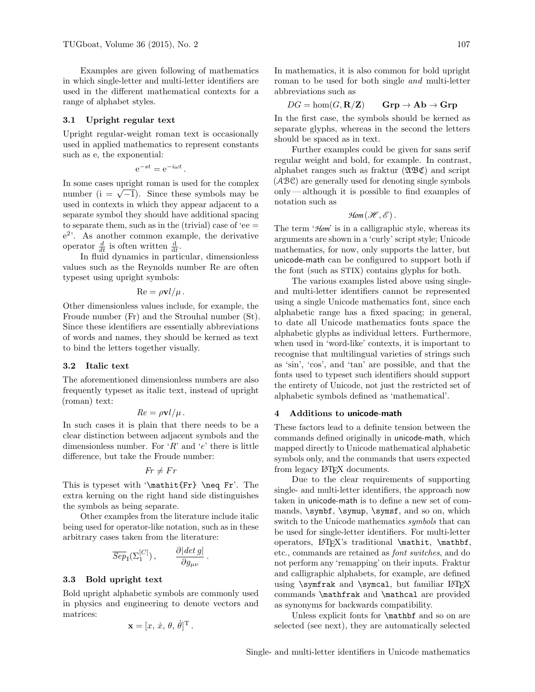Examples are given following of mathematics in which single-letter and multi-letter identifiers are used in the different mathematical contexts for a range of alphabet styles.

#### 3.1 Upright regular text

Upright regular-weight roman text is occasionally used in applied mathematics to represent constants such as e, the exponential:

$$
e^{-st} = e^{-i\omega t}.
$$

In some cases upright roman is used for the complex In some cases upright roman is used for the complex<br>number ( $i = \sqrt{-1}$ ). Since these symbols may be used in contexts in which they appear adjacent to a separate symbol they should have additional spacing to separate them, such as in the (trivial) case of 'ee  $=$ e 2 '. As another common example, the derivative operator  $\frac{d}{dt}$  is often written  $\frac{d}{dt}$ .

In fluid dynamics in particular, dimensionless values such as the Reynolds number Re are often typeset using upright symbols:

$$
\mathrm{Re} = \rho \mathbf{v} l / \mu \,.
$$

Other dimensionless values include, for example, the Froude number (Fr) and the Strouhal number (St). Since these identifiers are essentially abbreviations of words and names, they should be kerned as text to bind the letters together visually.

#### 3.2 Italic text

The aforementioned dimensionless numbers are also frequently typeset as italic text, instead of upright (roman) text:

$$
Re = \rho \mathbf{v} l / \mu \, .
$$

In such cases it is plain that there needs to be a clear distinction between adjacent symbols and the dimensionless number. For  $R$  and  $'e$  there is little difference, but take the Froude number:

$$
Fr \neq Fr
$$

This is typeset with '\mathit{Fr} \neq Fr'. The extra kerning on the right hand side distinguishes the symbols as being separate.

Other examples from the literature include italic being used for operator-like notation, such as in these arbitrary cases taken from the literature:

$$
\overline{Sep}_I(\Sigma_1^{[C]})\,,\qquad \frac{\partial|\det g|}{\partial g_{\mu\nu}}\,.
$$

#### 3.3 Bold upright text

Bold upright alphabetic symbols are commonly used in physics and engineering to denote vectors and matrices:

$$
\mathbf{x} = [x, \, \dot{x}, \, \theta, \, \dot{\theta}]^{\mathrm{T}}.
$$

In mathematics, it is also common for bold upright roman to be used for both single and multi-letter abbreviations such as

 $DG = \text{hom}(G, \mathbf{R}/\mathbf{Z})$   $\mathbf{Grp} \to \mathbf{Ab} \to \mathbf{Grp}$ 

In the first case, the symbols should be kerned as separate glyphs, whereas in the second the letters should be spaced as in text.

Further examples could be given for sans serif regular weight and bold, for example. In contrast, alphabet ranges such as fraktur  $(\mathfrak{A}\mathfrak{B}\mathfrak{C})$  and script (ABC) are generally used for denoting single symbols only— although it is possible to find examples of notation such as

$$
\mathcal{H}\!\mathit{om}\left(\mathcal{H},\mathcal{E}\right).
$$

The term '*Hom*' is in a calligraphic style, whereas its arguments are shown in a 'curly' script style; Unicode mathematics, for now, only supports the latter, but unicode-math can be configured to support both if the font (such as STIX) contains glyphs for both.

The various examples listed above using singleand multi-letter identifiers cannot be represented using a single Unicode mathematics font, since each alphabetic range has a fixed spacing; in general, to date all Unicode mathematics fonts space the alphabetic glyphs as individual letters. Furthermore, when used in 'word-like' contexts, it is important to recognise that multilingual varieties of strings such as 'sin', 'cos', and 'tan' are possible, and that the fonts used to typeset such identifiers should support the entirety of Unicode, not just the restricted set of alphabetic symbols defined as 'mathematical'.

#### 4 Additions to unicode-math

These factors lead to a definite tension between the commands defined originally in unicode-math, which mapped directly to Unicode mathematical alphabetic symbols only, and the commands that users expected from legacy LAT<sub>EX</sub> documents.

Due to the clear requirements of supporting single- and multi-letter identifiers, the approach now taken in unicode-math is to define a new set of commands, \symbf, \symup, \symsf, and so on, which switch to the Unicode mathematics *symbols* that can be used for single-letter identifiers. For multi-letter operators, LATEX's traditional \mathit, \mathbf, etc., commands are retained as font switches, and do not perform any 'remapping' on their inputs. Fraktur and calligraphic alphabets, for example, are defined using \symfrak and \symcal, but familiar LATEX commands \mathfrak and \mathcal are provided as synonyms for backwards compatibility.

Unless explicit fonts for \mathbf and so on are selected (see next), they are automatically selected